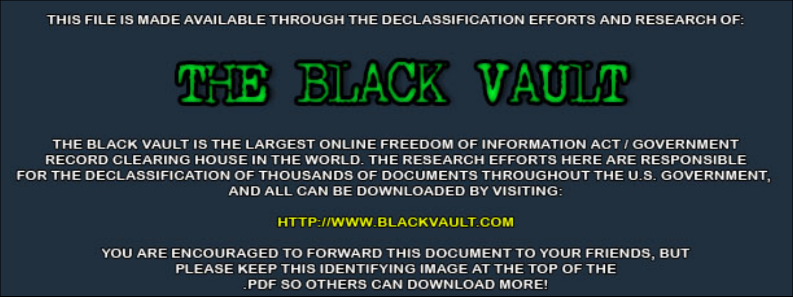THIS FILE IS MADE AVAILABLE THROUGH THE DECLASSIFICATION EFFORTS AND RESEARCH OF:



THE BLACK VAULT IS THE LARGEST ONLINE FREEDOM OF INFORMATION ACT / GOVERNMENT RECORD CLEARING HOUSE IN THE WORLD. THE RESEARCH EFFORTS HERE ARE RESPONSIBLE FOR THE DECLASSIFICATION OF THOUSANDS OF DOCUMENTS THROUGHOUT THE U.S. GOVERNMENT, AND ALL CAN BE DOWNLOADED BY VISITING:

**HTTP://WWW.BLACKVAULT.COM** 

YOU ARE ENCOURAGED TO FORWARD THIS DOCUMENT TO YOUR FRIENDS, BUT PLEASE KEEP THIS IDENTIFYING IMAGE AT THE TOP OF THE PDF SO OTHERS CAN DOWNLOAD MORE!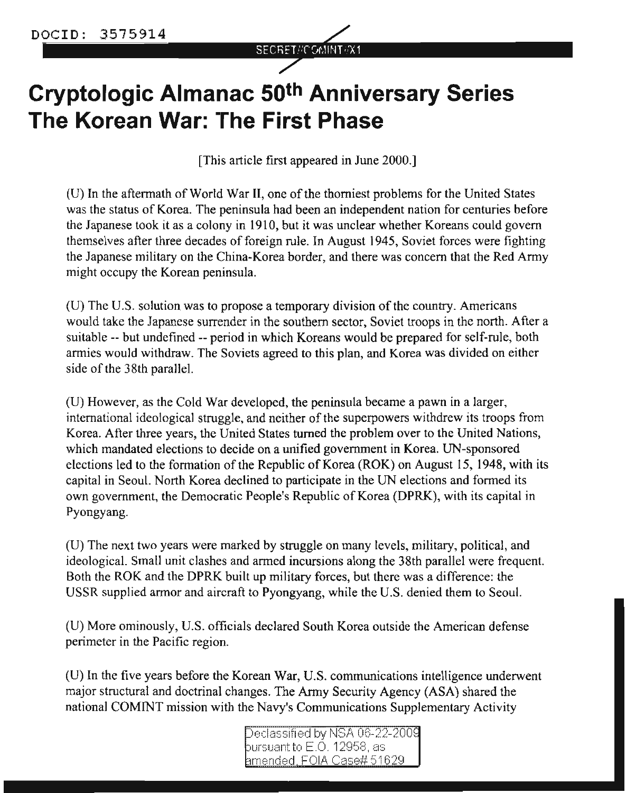

# **Cryptologic Almanac 50th Anniversary Series The Korean War: The First Phase**

[This article first appeared in June 2000.]

(U) In the aftermath of World War **II,** one ofthe thorniest problems for the United States was the status of Korea. The peninsula had been an independent nation for centuries before the Japanese took it as a colony in 1910, but it was unclear whether Koreans could govern themselves after three decades of foreign rule. In August 1945, Soviet forces were fighting the Japanese military on the China-Korea border, and there was concern that the Red Army might occupy the Korean peninsula.

(U) The U.S. solution was to propose a temporary division of the country. Americans would take the Japanese surrender in the southern sector, Soviet troops in the north. After a suitable -- but undefined -- period in which Koreans would be prepared for self-rule, both armies would withdraw. The Soviets agreed to this plan, and Korea was divided on either side of the 38th parallel.

(U) However, as the Cold War developed, the peninsula became a pawn in a larger, international ideological struggle, and neither of the superpowers withdrew its troops from Korea. After three years, the United States turned the problem over to the United Nations, which mandated elections to decide on a unified government in Korea. UN-sponsored elections led to the formation of the Republic of Korea (ROK) on August IS, 1948, with its capital in Seoul. North Korea declined to participate in the UN elections and formed its own government, the Democratic People's Republic of Korea (DPRK), with its capital in Pyongyang.

(U) The next two years were marked by struggle on many levels, military, political, and ideological. Small unit clashes and armed incursions along the 38th parallel were frequent. Both the ROK and the DPRK built up military forces, but there was a difference: the USSR supplied armor and aircraft to Pyongyang, while the U.S. denied them to Seoul.

(U) More ominously, U.S. officials declared South Korea outside the American defense perimeter in the Pacific region.

(U) In the five years before the Korean War, U.S. communications intelligence underwent major structural and doctrinal changes. The Army Security Agency (ASA) shared the national COMINT mission with the Navy's Communications Supplementary Activity

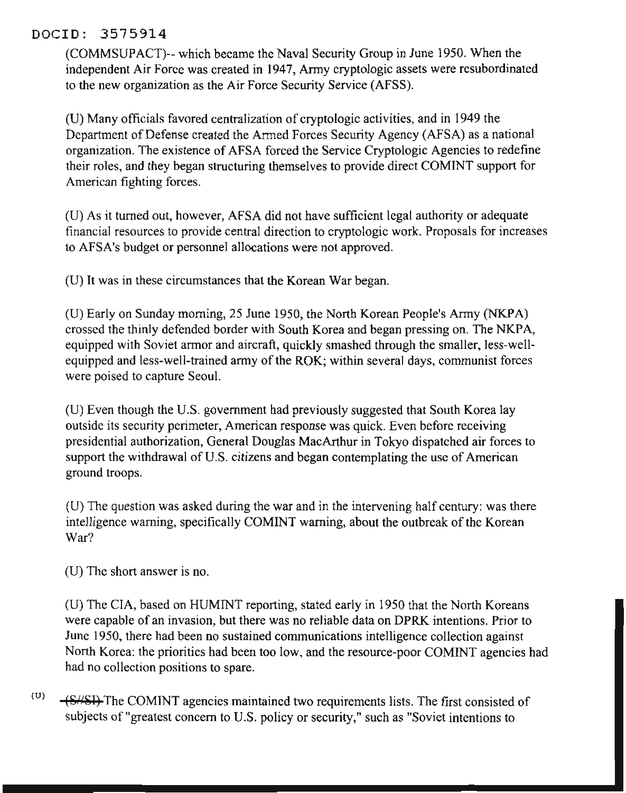#### DOClD: 3575914

(COMMSVPACT)-- which became the Naval Security Group in June 1950. When the independent Air Force was created in 1947, Anny cryptologic assets were resubordinated to the new organization as the Air Force Security Service (AFSS).

(V) Many officials favored centralization of cryptologic activities, and in 1949 the Department of Defense created the Armed Forces Security Agency (AFSA) as a national organization. The existence of AFSA forced the Service Cryptologic Agencies to redefine their roles, and they began structuring themselves to provide direct COMINT support for American fighting forces.

(V) As it turned out, however, AFSA did not have sufficient legal authority or adequate financial resources to provide central direction to cryptologic work. Proposals for increases to AFSA's budget or personnel allocations were not approved.

(V) It was in these circumstances that the Korean War began.

(U) Early on Sunday morning, 25 June 1950, the North Korean People's Army (NKPA) crossed the thinly defended border with South Korea and began pressing on. The NKPA, equipped with Soviet armor and aircraft, quickly smashed through the smaller, less-wellequipped and less-well-trained army of the ROK; within several days, communist forces were poised to capture Seoul.

(U) Even though the V.S. government had previously suggested that South Korea lay outside its security perimeter, American response was quick. Even before receiving presidential authorization, General Douglas MacArthur in Tokyo dispatched air forces to support the withdrawal of U.S. citizens and began contemplating the use of American ground troops.

(U) The question was asked during the war and in the intervening half century: was there intelligence warning, specifically COMINT warning, about the outbreak of the Korean War?

(U) The short answer is no.

(V) The CIA, based on HVMINT reporting, stated early in 1950 that the North Koreans were capable of an invasion, but there was no reliable data on DPRK intentions. Prior to June 1950, there had been no sustained communications intelligence collection against North Korea: the priorities had been too low, and the resource-poor COMINT agencies had had no collection positions to spare.

 $(0)$   $\leftarrow$  ES<sub>1</sub>/SI) The COMINT agencies maintained two requirements lists. The first consisted of subjects of "greatest concern to V.S. policy or security," such as "Soviet intentions to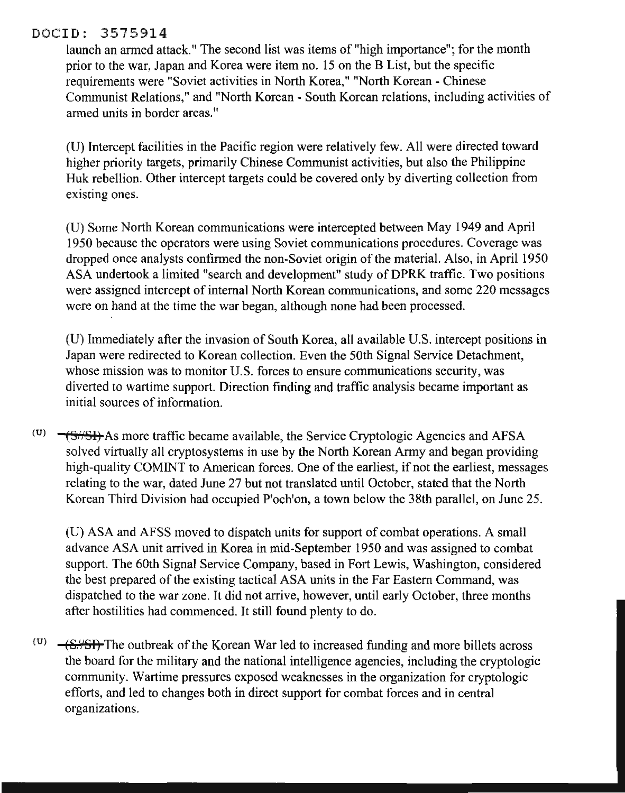#### DOClD: 3575914

launch an armed attack." The second list was items of "high importance"; for the month prior to the war, Japan and Korea were item no. 15 on the B List, but the specific requirements were "Soviet activities in North Korea," "North Korean - Chinese Communist Relations," and "North Korean - South Korean relations, including activities of armed units in border areas."

(V) Intercept facilities in the Pacific region were relatively few. All were directed toward higher priority targets, primarily Chinese Communist activities, but also the Philippine Huk rebellion. Other intercept targets could be covered only by diverting collection from existing ones.

(V) Some North Korean communications were intercepted between May 1949 and April 1950 because the operators were using Soviet communications procedures. Coverage was dropped once analysts confirmed the non-Soviet origin of the material. Also, in April 1950 ASA undertook a limited "search and development" study of DPRK traffic. Two positions were assigned intercept of internal North Korean communications, and some 220 messages were on hand at the time the war began, although none had been processed.

(V) Immediately after the invasion of South Korea, all available V.S. intercept positions in Japan were redirected to Korean collection. Even the 50th Signal Service Detachment, whose mission was to monitor U.S. forces to ensure communications security, was diverted to wartime support. Direction finding and traffic analysis became important as initial sources of information.

 $(0)$   $\rightarrow$  (S/SI) As more traffic became available, the Service Cryptologic Agencies and AFSA solved virtually all cryptosystems in use by the North Korean Army and began providing high-quality COMINT to American forces. One of the earliest, if not the earliest, messages relating to the war, dated June 27 but not translated until October, stated that the North Korean Third Division had occupied P'och'on, a town below the 38th parallel, on June 25.

(V) ASA and AFSS moved to dispatch units for support of combat operations. A small advance ASA unit arrived in Korea in mid-September 1950 and was assigned to combat support. The 60th Signal Service Company, based in Fort Lewis, Washington, considered the best prepared of the existing tactical ASA units in the Far Eastern Command, was dispatched to the war zone. It did not arrive, however, until early October, three months after hostilities had commenced. It still found plenty to do.

(U)  $-\frac{S}{S}$ . The outbreak of the Korean War led to increased funding and more billets across the board for the military and the national intelligence agencies, including the cryptologic community. Wartime pressures exposed weaknesses in the organization for cryptologic efforts, and led to changes both in direct support for combat forces and in central organizations.